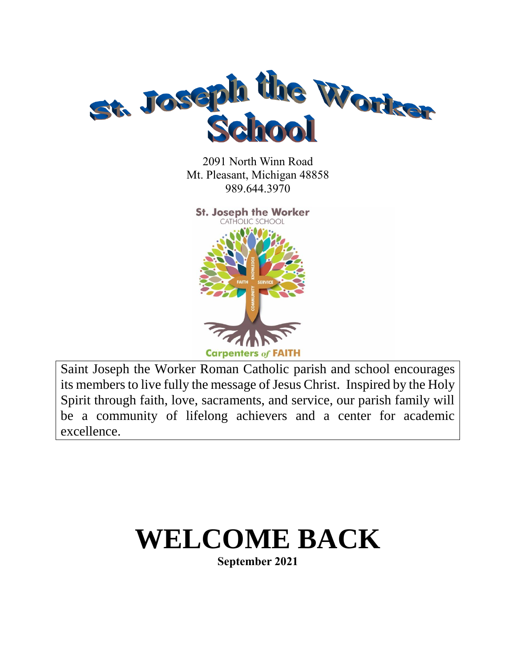

2091 North Winn Road Mt. Pleasant, Michigan 48858 989.644.3970



 Saint Joseph the Worker Roman Catholic parish and school encourages its members to live fully the message of Jesus Christ. Inspired by the Holy Spirit through faith, love, sacraments, and service, our parish family will be a community of lifelong achievers and a center for academic excellence.

# **WELCOME BACK**

**September 2021**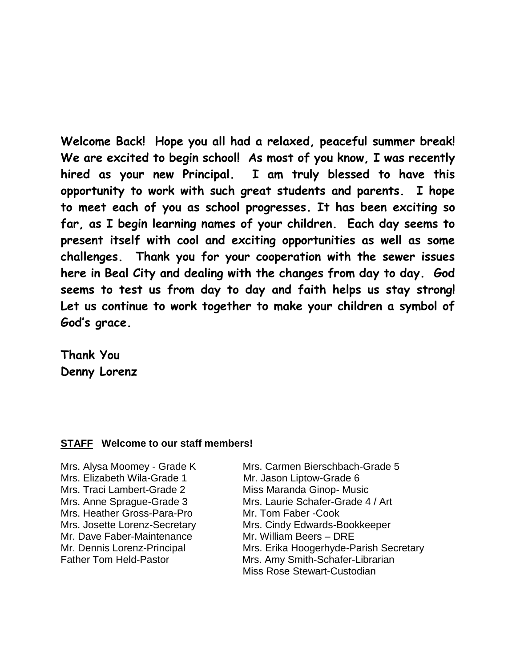**Welcome Back! Hope you all had a relaxed, peaceful summer break! We are excited to begin school! As most of you know, I was recently hired as your new Principal. I am truly blessed to have this opportunity to work with such great students and parents. I hope to meet each of you as school progresses. It has been exciting so far, as I begin learning names of your children. Each day seems to present itself with cool and exciting opportunities as well as some challenges. Thank you for your cooperation with the sewer issues here in Beal City and dealing with the changes from day to day. God seems to test us from day to day and faith helps us stay strong! Let us continue to work together to make your children a symbol of God's grace.** 

**Thank You Denny Lorenz**

### **STAFF Welcome to our staff members!**

Mrs. Elizabeth Wila-Grade 1 Mr. Jason Liptow-Grade 6 Mrs. Traci Lambert-Grade 2 Miss Maranda Ginop- Music Mrs. Heather Gross-Para-Pro Mr. Tom Faber -Cook Mr. Dave Faber-Maintenance Mr. William Beers – DRE

Mrs. Alysa Moomey - Grade K Mrs. Carmen Bierschbach-Grade 5 Mrs. Anne Sprague-Grade 3 Mrs. Laurie Schafer-Grade 4 / Art Mrs. Josette Lorenz-Secretary Mrs. Cindy Edwards-Bookkeeper Mr. Dennis Lorenz-Principal Mrs. Erika Hoogerhyde-Parish Secretary Father Tom Held-Pastor Mrs. Amy Smith-Schafer-Librarian Miss Rose Stewart-Custodian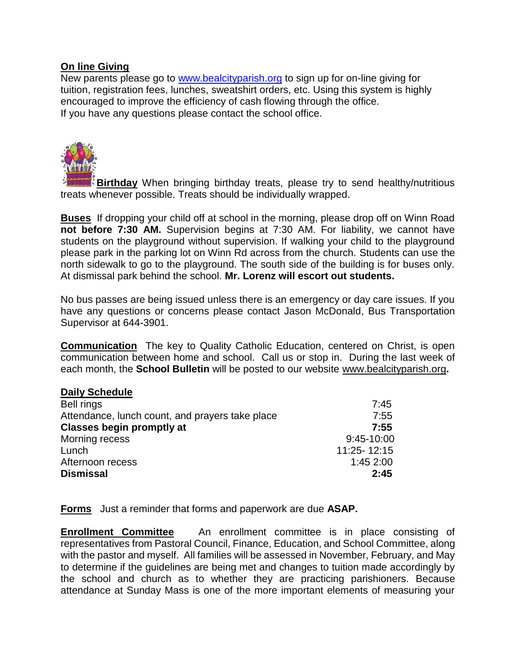# **On line Giving**

New parents please go to [www.bealcityparish.org](http://www.bealcityparish.org/) to sign up for on-line giving for tuition, registration fees, lunches, sweatshirt orders, etc. Using this system is highly encouraged to improve the efficiency of cash flowing through the office. If you have any questions please contact the school office.



**Birthday** When bringing birthday treats, please try to send healthy/nutritious treats whenever possible. Treats should be individually wrapped.

**Buses** If dropping your child off at school in the morning, please drop off on Winn Road **not before 7:30 AM.** Supervision begins at 7:30 AM. For liability, we cannot have students on the playground without supervision. If walking your child to the playground please park in the parking lot on Winn Rd across from the church. Students can use the north sidewalk to go to the playground. The south side of the building is for buses only. At dismissal park behind the school. **Mr. Lorenz will escort out students.**

No bus passes are being issued unless there is an emergency or day care issues. If you have any questions or concerns please contact Jason McDonald, Bus Transportation Supervisor at 644-3901.

**Communication** The key to Quality Catholic Education, centered on Christ, is open communication between home and school. Call us or stop in. During the last week of each month, the **School Bulletin** will be posted to our website www.bealcityparish.org**.**

### **Daily Schedule**

| 7:45        |
|-------------|
| 7:55        |
| 7:55        |
| 9:45-10:00  |
| 11:25-12:15 |
| 1:452:00    |
| 2:45        |
|             |

**Forms** Just a reminder that forms and paperwork are due **ASAP.** 

**Enrollment Committee** An enrollment committee is in place consisting of representatives from Pastoral Council, Finance, Education, and School Committee, along with the pastor and myself. All families will be assessed in November, February, and May to determine if the guidelines are being met and changes to tuition made accordingly by the school and church as to whether they are practicing parishioners. Because attendance at Sunday Mass is one of the more important elements of measuring your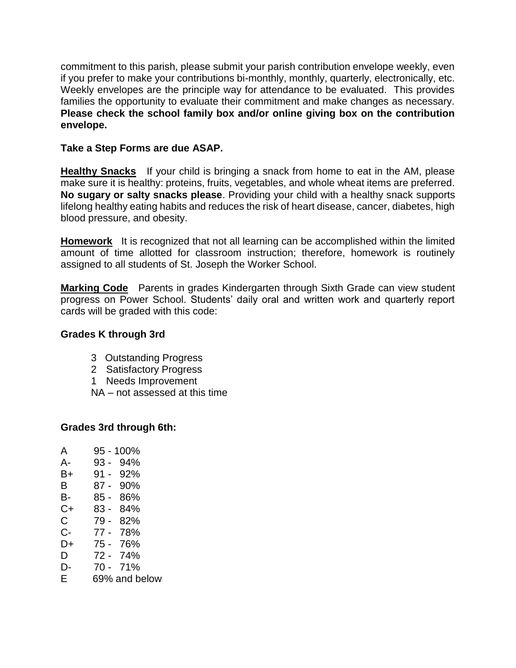commitment to this parish, please submit your parish contribution envelope weekly, even if you prefer to make your contributions bi-monthly, monthly, quarterly, electronically, etc. Weekly envelopes are the principle way for attendance to be evaluated. This provides families the opportunity to evaluate their commitment and make changes as necessary. **Please check the school family box and/or online giving box on the contribution envelope.**

# **Take a Step Forms are due ASAP.**

**Healthy Snacks** If your child is bringing a snack from home to eat in the AM, please make sure it is healthy: proteins, fruits, vegetables, and whole wheat items are preferred. **No sugary or salty snacks please**. Providing your child with a healthy snack supports lifelong healthy eating habits and reduces the risk of heart disease, cancer, diabetes, high blood pressure, and obesity.

**Homework** It is recognized that not all learning can be accomplished within the limited amount of time allotted for classroom instruction; therefore, homework is routinely assigned to all students of St. Joseph the Worker School.

**Marking Code** Parents in grades Kindergarten through Sixth Grade can view student progress on Power School. Students' daily oral and written work and quarterly report cards will be graded with this code:

# **Grades K through 3rd**

- 3 Outstanding Progress
- 2 Satisfactory Progress
- 1 Needs Improvement
- NA not assessed at this time

### **Grades 3rd through 6th:**

A 95 - 100% A- 93 - 94% B+ 91 - 92% B 87 - 90% B- 85 - 86% C+ 83 - 84% C 79 - 82% C- 77 - 78% D+ 75 - 76%  $D$  72 - 74% D- 70 - 71% E 69% and below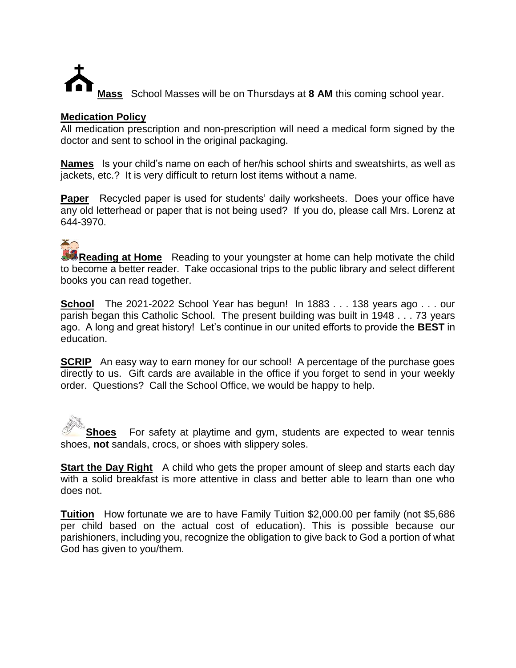

### **Medication Policy**

All medication prescription and non-prescription will need a medical form signed by the doctor and sent to school in the original packaging.

**Names** Is your child's name on each of her/his school shirts and sweatshirts, as well as jackets, etc.? It is very difficult to return lost items without a name.

**Paper** Recycled paper is used for students' daily worksheets. Does your office have any old letterhead or paper that is not being used? If you do, please call Mrs. Lorenz at 644-3970.

**Reading at Home** Reading to your youngster at home can help motivate the child to become a better reader. Take occasional trips to the public library and select different books you can read together.

**School** The 2021-2022 School Year has begun! In 1883 . . . 138 years ago . . . our parish began this Catholic School. The present building was built in 1948 . . . 73 years ago. A long and great history! Let's continue in our united efforts to provide the **BEST** in education.

**SCRIP** An easy way to earn money for our school! A percentage of the purchase goes directly to us. Gift cards are available in the office if you forget to send in your weekly order. Questions? Call the School Office, we would be happy to help.

**Shoes** For safety at playtime and gym, students are expected to wear tennis shoes, **not** sandals, crocs, or shoes with slippery soles.

**Start the Day Right** A child who gets the proper amount of sleep and starts each day with a solid breakfast is more attentive in class and better able to learn than one who does not.

**Tuition** How fortunate we are to have Family Tuition \$2,000.00 per family (not \$5,686 per child based on the actual cost of education). This is possible because our parishioners, including you, recognize the obligation to give back to God a portion of what God has given to you/them.